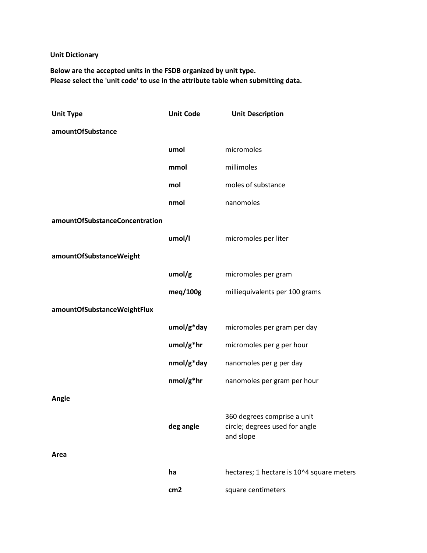## **Unit Dictionary**

**Below are the accepted units in the FSDB organized by unit type. Please select the 'unit code' to use in the attribute table when submitting data.**

| <b>Unit Type</b>               | <b>Unit Code</b> | <b>Unit Description</b>                                                    |
|--------------------------------|------------------|----------------------------------------------------------------------------|
| amountOfSubstance              |                  |                                                                            |
|                                | umol             | micromoles                                                                 |
|                                | mmol             | millimoles                                                                 |
|                                | mol              | moles of substance                                                         |
|                                | nmol             | nanomoles                                                                  |
| amountOfSubstanceConcentration |                  |                                                                            |
|                                | umol/l           | micromoles per liter                                                       |
| amountOfSubstanceWeight        |                  |                                                                            |
|                                | umol/g           | micromoles per gram                                                        |
|                                | meg/100g         | milliequivalents per 100 grams                                             |
| amountOfSubstanceWeightFlux    |                  |                                                                            |
|                                | umol/g*day       | micromoles per gram per day                                                |
|                                | umol/g*hr        | micromoles per g per hour                                                  |
|                                | nmol/g*day       | nanomoles per g per day                                                    |
|                                | nmol/g*hr        | nanomoles per gram per hour                                                |
| Angle                          |                  |                                                                            |
|                                | deg angle        | 360 degrees comprise a unit<br>circle; degrees used for angle<br>and slope |
| Area                           |                  |                                                                            |
|                                | ha               | hectares; 1 hectare is 10^4 square meters                                  |
|                                | cm <sub>2</sub>  | square centimeters                                                         |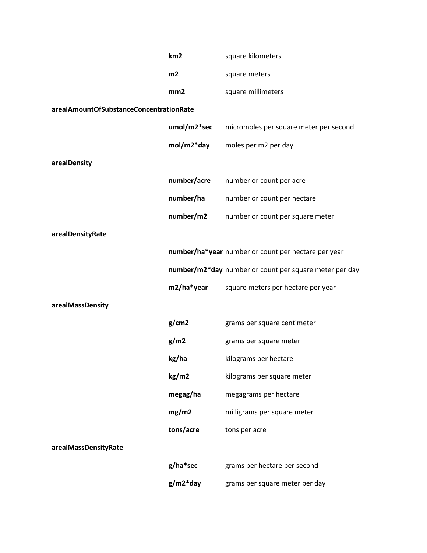|                                         | km <sub>2</sub> | square kilometers                                      |
|-----------------------------------------|-----------------|--------------------------------------------------------|
|                                         | m2              | square meters                                          |
|                                         | mm2             | square millimeters                                     |
| arealAmountOfSubstanceConcentrationRate |                 |                                                        |
|                                         | umol/m2*sec     | micromoles per square meter per second                 |
|                                         | mol/m2*day      | moles per m2 per day                                   |
| arealDensity                            |                 |                                                        |
|                                         | number/acre     | number or count per acre                               |
|                                         | number/ha       | number or count per hectare                            |
|                                         | number/m2       | number or count per square meter                       |
| arealDensityRate                        |                 |                                                        |
|                                         |                 | number/ha*year number or count per hectare per year    |
|                                         |                 | number/m2*day number or count per square meter per day |
|                                         | m2/ha*year      | square meters per hectare per year                     |
| arealMassDensity                        |                 |                                                        |
|                                         | g/cm2           | grams per square centimeter                            |
|                                         | g/m2            | grams per square meter                                 |
|                                         | kg/ha           | kilograms per hectare                                  |
|                                         | kg/m2           | kilograms per square meter                             |
|                                         | megag/ha        | megagrams per hectare                                  |
|                                         | mg/m2           | milligrams per square meter                            |
|                                         | tons/acre       | tons per acre                                          |
| arealMassDensityRate                    |                 |                                                        |
|                                         | g/ha*sec        | grams per hectare per second                           |
|                                         | $g/m2^*$ day    | grams per square meter per day                         |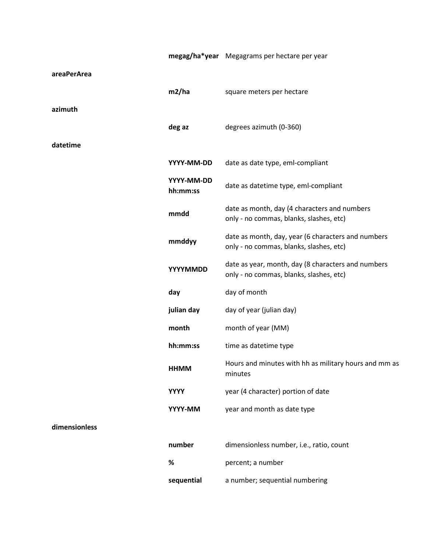|               |                        | megag/ha*year Megagrams per hectare per year                                                  |
|---------------|------------------------|-----------------------------------------------------------------------------------------------|
| areaPerArea   |                        |                                                                                               |
|               | m2/ha                  | square meters per hectare                                                                     |
| azimuth       |                        |                                                                                               |
|               | deg az                 | degrees azimuth (0-360)                                                                       |
| datetime      |                        |                                                                                               |
|               | YYYY-MM-DD             | date as date type, eml-compliant                                                              |
|               | YYYY-MM-DD<br>hh:mm:ss | date as datetime type, eml-compliant                                                          |
|               | mmdd                   | date as month, day (4 characters and numbers<br>only - no commas, blanks, slashes, etc)       |
|               | mmddyy                 | date as month, day, year (6 characters and numbers<br>only - no commas, blanks, slashes, etc) |
|               | YYYYMMDD               | date as year, month, day (8 characters and numbers<br>only - no commas, blanks, slashes, etc) |
|               | day                    | day of month                                                                                  |
|               | julian day             | day of year (julian day)                                                                      |
|               | month                  | month of year (MM)                                                                            |
|               | hh:mm:ss               | time as datetime type                                                                         |
|               | <b>HHMM</b>            | Hours and minutes with hh as military hours and mm as<br>minutes                              |
|               | <b>YYYY</b>            | year (4 character) portion of date                                                            |
|               | YYYY-MM                | year and month as date type                                                                   |
| dimensionless |                        |                                                                                               |
|               | number                 | dimensionless number, i.e., ratio, count                                                      |
|               | $\%$                   | percent; a number                                                                             |
|               | sequential             | a number; sequential numbering                                                                |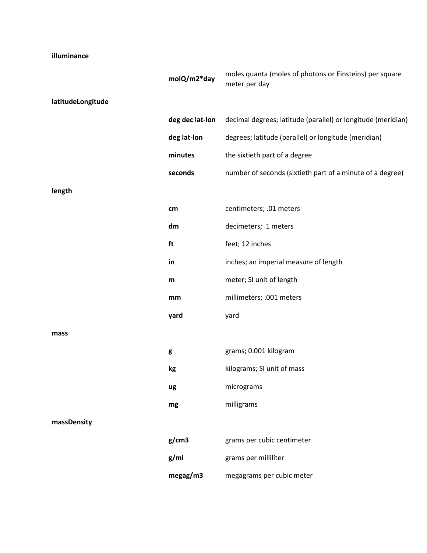## **illuminance**

|                   | molQ/m2*day     | moles quanta (moles of photons or Einsteins) per square<br>meter per day |
|-------------------|-----------------|--------------------------------------------------------------------------|
| latitudeLongitude |                 |                                                                          |
|                   | deg dec lat-lon | decimal degrees; latitude (parallel) or longitude (meridian)             |
|                   | deg lat-lon     | degrees; latitude (parallel) or longitude (meridian)                     |
|                   | minutes         | the sixtieth part of a degree                                            |
|                   | seconds         | number of seconds (sixtieth part of a minute of a degree)                |
| length            |                 |                                                                          |
|                   | $\mathsf{cm}$   | centimeters; .01 meters                                                  |
|                   | dm              | decimeters; .1 meters                                                    |
|                   | ft              | feet; 12 inches                                                          |
|                   | in              | inches; an imperial measure of length                                    |
|                   | ${\sf m}$       | meter; SI unit of length                                                 |
|                   | mm              | millimeters; .001 meters                                                 |
|                   | yard            | yard                                                                     |
| mass              |                 |                                                                          |
|                   | g               | grams; 0.001 kilogram                                                    |
|                   | kg              | kilograms; SI unit of mass                                               |
|                   | ug              | micrograms                                                               |
|                   | mg              | milligrams                                                               |
| massDensity       |                 |                                                                          |
|                   | g/cm3           | grams per cubic centimeter                                               |
|                   | g/ml            | grams per milliliter                                                     |
|                   | megag/m3        | megagrams per cubic meter                                                |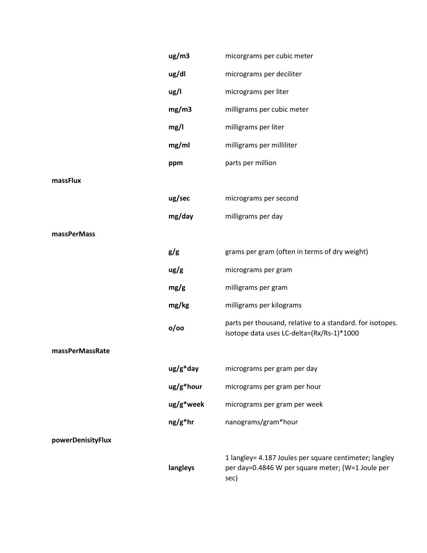|                   | ug/m3       | micorgrams per cubic meter                                                                                          |
|-------------------|-------------|---------------------------------------------------------------------------------------------------------------------|
|                   | ug/dl       | micrograms per deciliter                                                                                            |
|                   | ug/l        | micrograms per liter                                                                                                |
|                   | mg/m3       | milligrams per cubic meter                                                                                          |
|                   | mg/l        | milligrams per liter                                                                                                |
|                   | mg/ml       | milligrams per milliliter                                                                                           |
|                   | ppm         | parts per million                                                                                                   |
| massFlux          |             |                                                                                                                     |
|                   | ug/sec      | micrograms per second                                                                                               |
|                   | mg/day      | milligrams per day                                                                                                  |
| massPerMass       |             |                                                                                                                     |
|                   | g/g         | grams per gram (often in terms of dry weight)                                                                       |
|                   | ug/g        | micrograms per gram                                                                                                 |
|                   | mg/g        | milligrams per gram                                                                                                 |
|                   | mg/kg       | milligrams per kilograms                                                                                            |
|                   | o/oo        | parts per thousand, relative to a standard. for isotopes.<br>Isotope data uses LC-delta=(Rx/Rs-1)*1000              |
| massPerMassRate   |             |                                                                                                                     |
|                   | $ug/g^*day$ | micrograms per gram per day                                                                                         |
|                   | ug/g*hour   | micrograms per gram per hour                                                                                        |
|                   | ug/g*week   | micrograms per gram per week                                                                                        |
|                   | $ng/g^*$ hr | nanograms/gram*hour                                                                                                 |
| powerDenisityFlux |             |                                                                                                                     |
|                   | langleys    | 1 langley= 4.187 Joules per square centimeter; langley<br>per day=0.4846 W per square meter; (W=1 Joule per<br>sec) |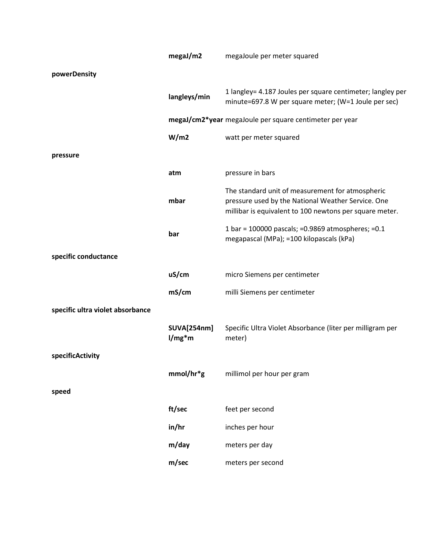|                                  | megaJ/m2                       | megaJoule per meter squared                                                                                                                                       |
|----------------------------------|--------------------------------|-------------------------------------------------------------------------------------------------------------------------------------------------------------------|
| powerDensity                     |                                |                                                                                                                                                                   |
|                                  | langleys/min                   | 1 langley= 4.187 Joules per square centimeter; langley per<br>minute=697.8 W per square meter; (W=1 Joule per sec)                                                |
|                                  |                                | megaJ/cm2*year megaJoule per square centimeter per year                                                                                                           |
|                                  | W/m2                           | watt per meter squared                                                                                                                                            |
| pressure                         |                                |                                                                                                                                                                   |
|                                  | atm                            | pressure in bars                                                                                                                                                  |
|                                  | mbar                           | The standard unit of measurement for atmospheric<br>pressure used by the National Weather Service. One<br>millibar is equivalent to 100 newtons per square meter. |
|                                  | bar                            | 1 bar = 100000 pascals; = 0.9869 atmospheres; = 0.1<br>megapascal (MPa); =100 kilopascals (kPa)                                                                   |
| specific conductance             |                                |                                                                                                                                                                   |
|                                  | uS/cm                          | micro Siemens per centimeter                                                                                                                                      |
|                                  | mS/cm                          | milli Siemens per centimeter                                                                                                                                      |
| specific ultra violet absorbance |                                |                                                                                                                                                                   |
|                                  | <b>SUVA[254nm]</b><br>$1/mg*m$ | Specific Ultra Violet Absorbance (liter per milligram per<br>meter)                                                                                               |
| specificActivity                 |                                |                                                                                                                                                                   |
|                                  | mmol/hr*g                      | millimol per hour per gram                                                                                                                                        |
| speed                            |                                |                                                                                                                                                                   |
|                                  | ft/sec                         | feet per second                                                                                                                                                   |
|                                  | in/hr                          | inches per hour                                                                                                                                                   |
|                                  | m/day                          | meters per day                                                                                                                                                    |
|                                  | m/sec                          | meters per second                                                                                                                                                 |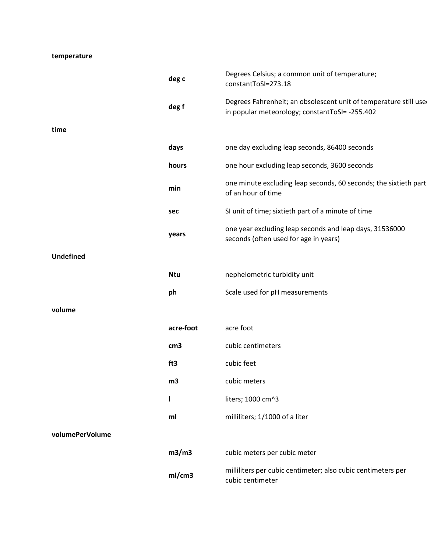## **temperature**

|                  | deg c           | Degrees Celsius; a common unit of temperature;<br>constantToSI=273.18                                              |
|------------------|-----------------|--------------------------------------------------------------------------------------------------------------------|
|                  | deg f           | Degrees Fahrenheit; an obsolescent unit of temperature still use<br>in popular meteorology; constantToSI= -255.402 |
| time             |                 |                                                                                                                    |
|                  | days            | one day excluding leap seconds, 86400 seconds                                                                      |
|                  | hours           | one hour excluding leap seconds, 3600 seconds                                                                      |
|                  | min             | one minute excluding leap seconds, 60 seconds; the sixtieth part<br>of an hour of time                             |
|                  | sec             | SI unit of time; sixtieth part of a minute of time                                                                 |
|                  | years           | one year excluding leap seconds and leap days, 31536000<br>seconds (often used for age in years)                   |
| <b>Undefined</b> |                 |                                                                                                                    |
|                  | <b>Ntu</b>      | nephelometric turbidity unit                                                                                       |
|                  | ph              | Scale used for pH measurements                                                                                     |
| volume           |                 |                                                                                                                    |
|                  | acre-foot       | acre foot                                                                                                          |
|                  | cm <sub>3</sub> | cubic centimeters                                                                                                  |
|                  | ft3             | cubic feet                                                                                                         |
|                  | m3              | cubic meters                                                                                                       |
|                  | ı               | liters; 1000 cm^3                                                                                                  |
|                  | ml              | milliliters; 1/1000 of a liter                                                                                     |
| volumePerVolume  |                 |                                                                                                                    |
|                  | m3/m3           | cubic meters per cubic meter                                                                                       |
|                  | ml/cm3          | milliliters per cubic centimeter; also cubic centimeters per<br>cubic centimeter                                   |